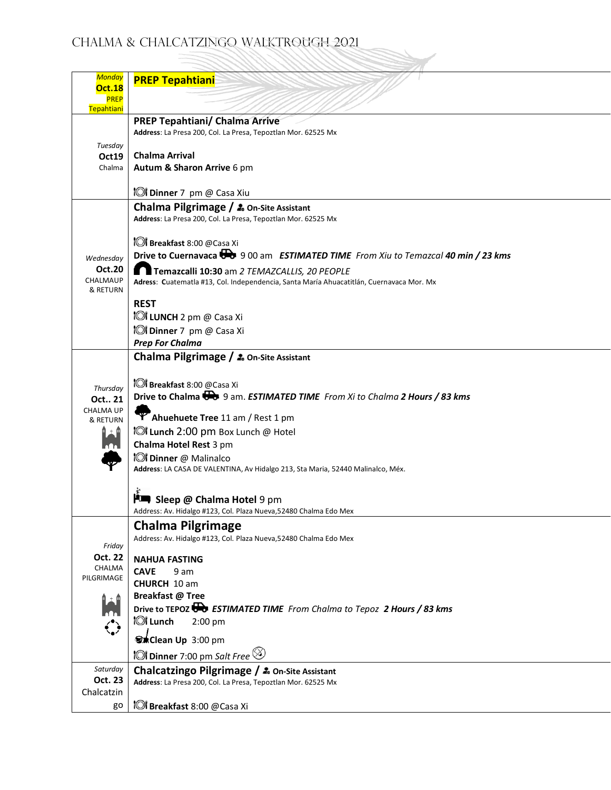## Chalma & Chalcatzingo Walktrough 2021

Z,

| <b>Monday</b><br><b>Oct.18</b><br><b>PREP</b><br>Tepahtiani | <b>PREP Tepahtiani</b>                                                                                  |
|-------------------------------------------------------------|---------------------------------------------------------------------------------------------------------|
|                                                             |                                                                                                         |
|                                                             | <b>PREP Tepahtiani/ Chalma Arrive</b>                                                                   |
|                                                             | Address: La Presa 200, Col. La Presa, Tepoztlan Mor. 62525 Mx                                           |
| Tuesday                                                     | <b>Chalma Arrival</b>                                                                                   |
| Oct19<br>Chalma                                             |                                                                                                         |
|                                                             | Autum & Sharon Arrive 6 pm                                                                              |
|                                                             | <b>O Dinner</b> 7 pm @ Casa Xiu                                                                         |
|                                                             | Chalma Pilgrimage / 20 On-Site Assistant                                                                |
|                                                             | Address: La Presa 200, Col. La Presa, Tepoztlan Mor. 62525 Mx                                           |
|                                                             |                                                                                                         |
|                                                             | <b>IOI</b> Breakfast 8:00 @Casa Xi                                                                      |
|                                                             | Drive to Cuernavaca $\overline{\mathbf{0}}$ 9 00 am ESTIMATED TIME From Xiu to Temazcal 40 min / 23 kms |
| Wednesday                                                   |                                                                                                         |
| <b>Oct.20</b>                                               | Temazcalli 10:30 am 2 TEMAZCALLIS, 20 PEOPLE                                                            |
| CHALMAUP<br>& RETURN                                        | Adress: Cuatematla #13, Col. Independencia, Santa María Ahuacatitlán, Cuernavaca Mor. Mx                |
|                                                             | <b>REST</b>                                                                                             |
|                                                             |                                                                                                         |
|                                                             | <b>IOI LUNCH</b> 2 pm @ Casa Xi                                                                         |
|                                                             | <b>IOI</b> Dinner 7 pm @ Casa Xi                                                                        |
|                                                             | <b>Prep For Chalma</b>                                                                                  |
|                                                             | Chalma Pilgrimage / 2. On-Site Assistant                                                                |
|                                                             |                                                                                                         |
| Thursday                                                    | <b>IOI</b> Breakfast 8:00 @Casa Xi                                                                      |
| Oct 21                                                      | Drive to Chalma $\bigoplus$ 9 am. ESTIMATED TIME From Xi to Chalma 2 Hours / 83 kms                     |
| <b>CHALMA UP</b>                                            |                                                                                                         |
| & RETURN                                                    | T Ahuehuete Tree 11 am / Rest 1 pm                                                                      |
| n 1                                                         | <b>IOI Lunch 2:00 pm Box Lunch @ Hotel</b>                                                              |
| $\cap$                                                      | Chalma Hotel Rest 3 pm                                                                                  |
|                                                             | <b>IOI</b> Dinner @ Malinalco                                                                           |
|                                                             | Address: LA CASA DE VALENTINA, Av Hidalgo 213, Sta Maria, 52440 Malinalco, Méx.                         |
|                                                             |                                                                                                         |
|                                                             | <b>Fundal Sleep @ Chalma Hotel 9 pm</b>                                                                 |
|                                                             | Address: Av. Hidalgo #123, Col. Plaza Nueva, 52480 Chalma Edo Mex                                       |
|                                                             |                                                                                                         |
|                                                             | <b>Chalma Pilgrimage</b><br>Address: Av. Hidalgo #123, Col. Plaza Nueva, 52480 Chalma Edo Mex           |
| Friday                                                      |                                                                                                         |
| Oct. 22                                                     | <b>NAHUA FASTING</b>                                                                                    |
| CHALMA                                                      | <b>CAVE</b><br>9 am                                                                                     |
| PILGRIMAGE                                                  | CHURCH 10 am                                                                                            |
|                                                             | Breakfast @ Tree                                                                                        |
|                                                             | Drive to TEPOZ <b>TO</b> ESTIMATED TIME From Chalma to Tepoz 2 Hours / 83 kms                           |
|                                                             | ែរ Lunch<br>$2:00$ pm                                                                                   |
|                                                             |                                                                                                         |
|                                                             | <b><sup>5</sup></b> Clean Up 3:00 pm                                                                    |
|                                                             | <b>101 Dinner</b> 7:00 pm Salt Free $\otimes$                                                           |
| Saturday                                                    | Chalcatzingo Pilgrimage / 20 On-Site Assistant                                                          |
| Oct. 23                                                     | Address: La Presa 200, Col. La Presa, Tepoztlan Mor. 62525 Mx                                           |
| Chalcatzin                                                  |                                                                                                         |
| go                                                          | <b>IOI</b> Breakfast 8:00 @Casa Xi                                                                      |
|                                                             |                                                                                                         |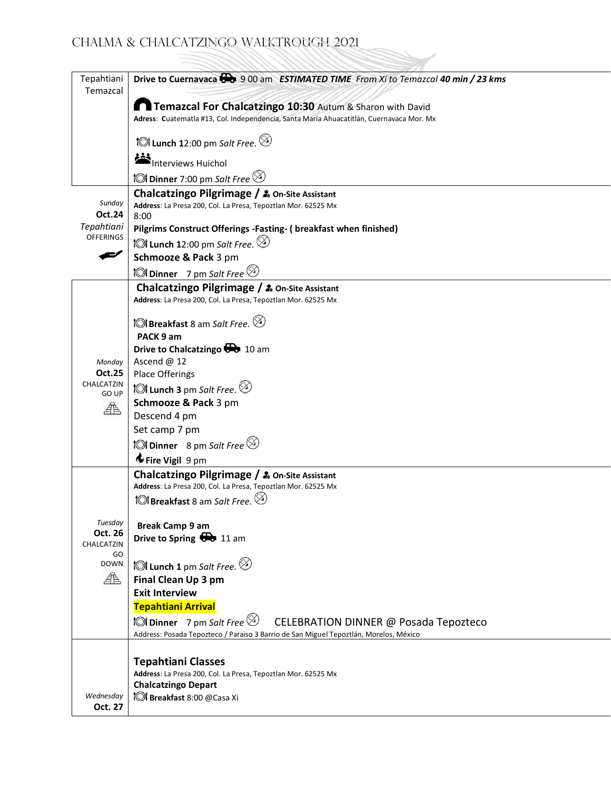| Tepahtiani<br>Temazcal      | Drive to Cuernavaca <b>De</b> 9 00 am ESTIMATED TIME From Xi to Temazcal 40 min / 23 kms                                                              |
|-----------------------------|-------------------------------------------------------------------------------------------------------------------------------------------------------|
|                             | Temazcal For Chalcatzingo 10:30 Autum & Sharon with David<br>Adress: Cuatematla #13, Col. Independencia, Santa María Ahuacatitlán, Cuernavaca Mor. Mx |
|                             | <b>101 Lunch 1</b> 2:00 pm Salt Free. $\otimes$                                                                                                       |
|                             | Interviews Huichol                                                                                                                                    |
|                             | <b>101 Dinner</b> 7:00 pm Salt Free $\otimes$                                                                                                         |
| Sunday<br>Oct.24            | Chalcatzingo Pilgrimage / 20 On-Site Assistant<br>Address: La Presa 200, Col. La Presa, Tepoztlan Mor. 62525 Mx<br>8:00                               |
| Tepahtiani                  | Pilgrims Construct Offerings -Fasting- ( breakfast when finished)                                                                                     |
| <b>OFFERINGS</b>            | <b>៉ែរ៉ Lunch 1</b> 2:00 pm Salt Free. $\otimes$                                                                                                      |
|                             | Schmooze & Pack 3 pm                                                                                                                                  |
|                             | <b>10 Dinner</b> 7 pm Salt Free $\otimes$                                                                                                             |
|                             | Chalcatzingo Pilgrimage / 2. On-Site Assistant<br>Address: La Presa 200, Col. La Presa, Tepoztlan Mor. 62525 Mx                                       |
|                             | <b>1©1 Breakfast</b> 8 am Salt Free. $\otimes$<br>PACK 9 am                                                                                           |
|                             | Drive to Chalcatzingo <b>Do</b> 10 am                                                                                                                 |
| Monday                      | Ascend @ 12                                                                                                                                           |
| <b>Oct.25</b><br>CHALCATZIN | Place Offerings                                                                                                                                       |
| GO UP                       | <b>101 Lunch 3</b> pm Salt Free. $\otimes$                                                                                                            |
| 喦                           | Schmooze & Pack 3 pm                                                                                                                                  |
|                             | Descend 4 pm<br>Set camp 7 pm                                                                                                                         |
|                             | <b>101 Dinner</b> 8 pm Salt Free $\otimes$                                                                                                            |
|                             | Fire Vigil 9 pm                                                                                                                                       |
|                             | Chalcatzingo Pilgrimage / 2. On-Site Assistant                                                                                                        |
|                             | Address: La Presa 200, Col. La Presa, Tepoztlan Mor. 62525 Mx                                                                                         |
|                             | <b>101 Breakfast</b> 8 am Salt Free. $\otimes$                                                                                                        |
|                             |                                                                                                                                                       |
| Tuesday<br>Oct. 26          | <b>Break Camp 9 am</b>                                                                                                                                |
| CHALCATZIN                  | Drive to Spring $\overline{\mathbf{G}}$ 11 am                                                                                                         |
| GO<br><b>DOWN</b>           | <b>101 Lunch 1</b> pm Salt Free. $\otimes$                                                                                                            |
| 典                           | Final Clean Up 3 pm                                                                                                                                   |
|                             | <b>Exit Interview</b>                                                                                                                                 |
|                             | Tepahtiani Arrival                                                                                                                                    |
|                             | <b>101 Dinner</b> 7 pm Salt Free $\otimes$<br>CELEBRATION DINNER @ Posada Tepozteco                                                                   |
|                             | Address: Posada Tepozteco / Paraiso 3 Barrio de San Miguel Tepoztlán, Morelos, México                                                                 |
|                             |                                                                                                                                                       |
|                             | <b>Tepahtiani Classes</b>                                                                                                                             |
|                             | Address: La Presa 200, Col. La Presa, Tepoztlan Mor. 62525 Mx<br><b>Chalcatzingo Depart</b>                                                           |
| Wednesday                   | <b>O Breakfast 8:00 @Casa Xi</b>                                                                                                                      |
| Oct. 27                     |                                                                                                                                                       |